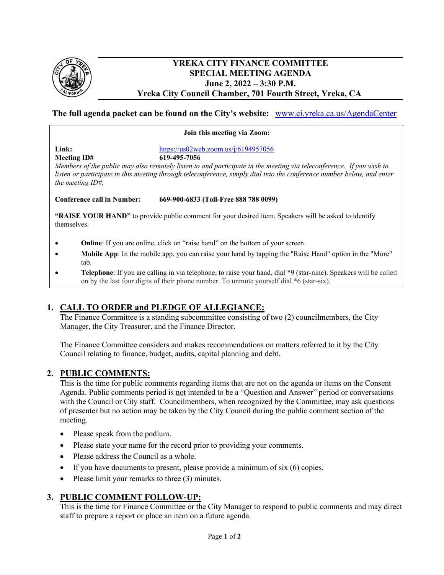

### **YREKA CITY FINANCE COMMITTEE SPECIAL MEETING AGENDA June 2, 2022 – 3:30 P.M. Yreka City Council Chamber, 701 Fourth Street, Yreka, CA**

## **The full agenda packet can be found on the City's website:** [www.ci.yreka.ca.us/AgendaCenter](http://www.ci.yreka.ca.us/AgendaCenter)

#### **Join this meeting via Zoom:**

**Link:** <https://us02web.zoom.us/j/6194957056>

**Meeting ID# 619-495-7056**  *Members of the public may also remotely listen to and participate in the meeting via teleconference. If you wish to listen or participate in this meeting through teleconference, simply dial into the conference number below, and enter the meeting ID#.*

**Conference call in Number: 669-900-6833 (Toll-Free 888 788 0099)** 

**"RAISE YOUR HAND"** to provide public comment for your desired item. Speakers will be asked to identify themselves.

- **Online**: If you are online, click on "raise hand" on the bottom of your screen.
- **Mobile App**: In the mobile app, you can raise your hand by tapping the "Raise Hand" option in the "More" tab.
- **Telephone**: If you are calling in via telephone, to raise your hand, dial \*9 (star-nine). Speakers will be called on by the last four digits of their phone number. To unmute yourself dial \*6 (star-six).

# **1. CALL TO ORDER and PLEDGE OF ALLEGIANCE:**

The Finance Committee is a standing subcommittee consisting of two (2) councilmembers, the City Manager, the City Treasurer, and the Finance Director.

The Finance Committee considers and makes recommendations on matters referred to it by the City Council relating to finance, budget, audits, capital planning and debt.

### **2. PUBLIC COMMENTS:**

This is the time for public comments regarding items that are not on the agenda or items on the Consent Agenda. Public comments period is not intended to be a "Question and Answer" period or conversations with the Council or City staff. Councilmembers, when recognized by the Committee, may ask questions of presenter but no action may be taken by the City Council during the public comment section of the meeting.

- Please speak from the podium.
- Please state your name for the record prior to providing your comments.
- Please address the Council as a whole.
- If you have documents to present, please provide a minimum of  $\sin(6)$  copies.
- Please limit your remarks to three (3) minutes.

### **3. PUBLIC COMMENT FOLLOW-UP:**

This is the time for Finance Committee or the City Manager to respond to public comments and may direct staff to prepare a report or place an item on a future agenda.